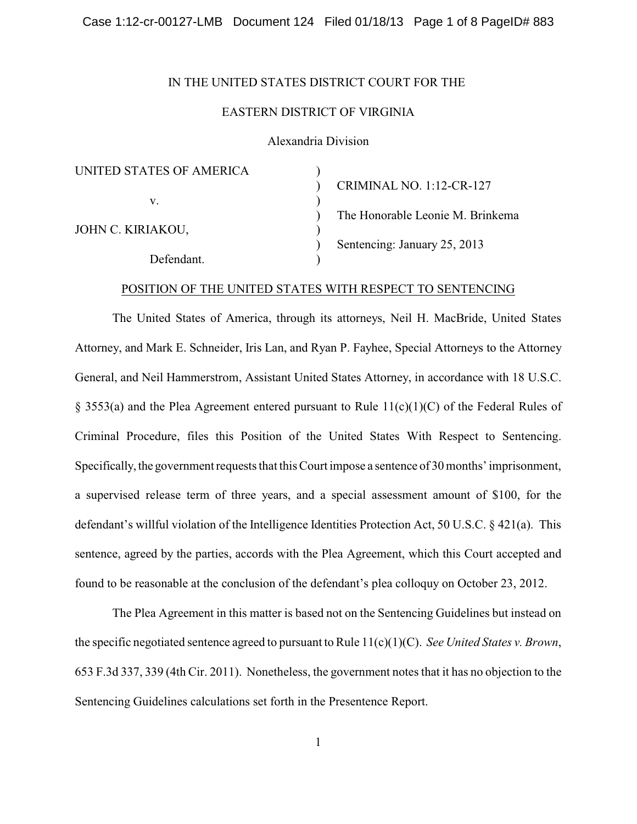### Case 1:12-cr-00127-LMB Document 124 Filed 01/18/13 Page 1 of 8 PageID# 883

### IN THE UNITED STATES DISTRICT COURT FOR THE

# EASTERN DISTRICT OF VIRGINIA

Alexandria Division

| UNITED STATES OF AMERICA |                                  |
|--------------------------|----------------------------------|
|                          | CRIMINAL NO. 1:12-CR-127         |
| V.                       |                                  |
|                          | The Honorable Leonie M. Brinkema |
| JOHN C. KIRIAKOU,        |                                  |
|                          | Sentencing: January 25, 2013     |
| Defendant.               |                                  |

#### POSITION OF THE UNITED STATES WITH RESPECT TO SENTENCING

The United States of America, through its attorneys, Neil H. MacBride, United States Attorney, and Mark E. Schneider, Iris Lan, and Ryan P. Fayhee, Special Attorneys to the Attorney General, and Neil Hammerstrom, Assistant United States Attorney, in accordance with 18 U.S.C.  $\S$  3553(a) and the Plea Agreement entered pursuant to Rule 11(c)(1)(C) of the Federal Rules of Criminal Procedure, files this Position of the United States With Respect to Sentencing. Specifically, the government requests that this Court impose a sentence of 30 months' imprisonment, a supervised release term of three years, and a special assessment amount of \$100, for the defendant's willful violation of the Intelligence Identities Protection Act, 50 U.S.C. § 421(a). This sentence, agreed by the parties, accords with the Plea Agreement, which this Court accepted and found to be reasonable at the conclusion of the defendant's plea colloquy on October 23, 2012.

The Plea Agreement in this matter is based not on the Sentencing Guidelines but instead on the specific negotiated sentence agreed to pursuant to Rule 11(c)(1)(C). *See United States v. Brown*, 653 F.3d 337, 339 (4th Cir. 2011). Nonetheless, the government notes that it has no objection to the Sentencing Guidelines calculations set forth in the Presentence Report.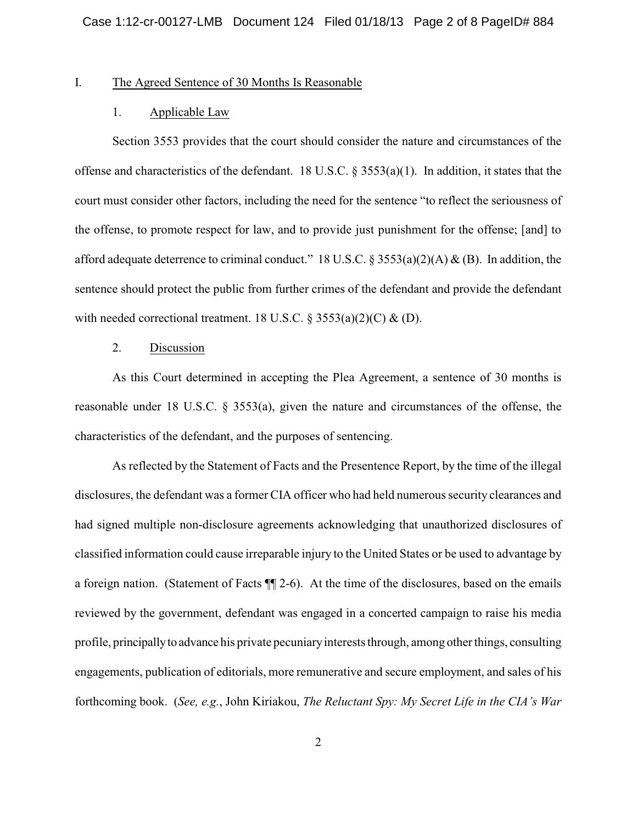# I. The Agreed Sentence of 30 Months Is Reasonable

# 1. Applicable Law

Section 3553 provides that the court should consider the nature and circumstances of the offense and characteristics of the defendant. 18 U.S.C. § 3553(a)(1). In addition, it states that the court must consider other factors, including the need for the sentence "to reflect the seriousness of the offense, to promote respect for law, and to provide just punishment for the offense; [and] to afford adequate deterrence to criminal conduct." 18 U.S.C. § 3553(a)(2)(A) & (B). In addition, the sentence should protect the public from further crimes of the defendant and provide the defendant with needed correctional treatment. 18 U.S.C.  $\S$  3553(a)(2)(C) & (D).

# 2. Discussion

As this Court determined in accepting the Plea Agreement, a sentence of 30 months is reasonable under 18 U.S.C. § 3553(a), given the nature and circumstances of the offense, the characteristics of the defendant, and the purposes of sentencing.

As reflected by the Statement of Facts and the Presentence Report, by the time of the illegal disclosures, the defendant was a former CIA officer who had held numerous security clearances and had signed multiple non-disclosure agreements acknowledging that unauthorized disclosures of classified information could cause irreparable injury to the United States or be used to advantage by a foreign nation. (Statement of Facts ¶¶ 2-6). At the time of the disclosures, based on the emails reviewed by the government, defendant was engaged in a concerted campaign to raise his media profile, principallyto advance his private pecuniaryinterests through, among other things, consulting engagements, publication of editorials, more remunerative and secure employment, and sales of his forthcoming book. (*See, e.g.*, John Kiriakou, *The Reluctant Spy: My Secret Life in the CIA's War*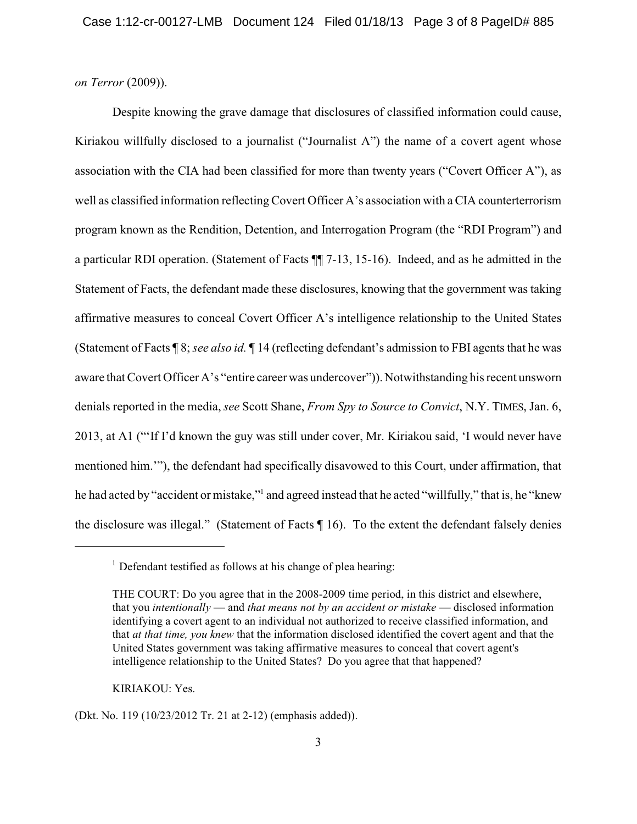*on Terror* (2009)).

Despite knowing the grave damage that disclosures of classified information could cause, Kiriakou willfully disclosed to a journalist ("Journalist A") the name of a covert agent whose association with the CIA had been classified for more than twenty years ("Covert Officer A"), as well as classified information reflecting Covert Officer A's association with a CIA counterterrorism program known as the Rendition, Detention, and Interrogation Program (the "RDI Program") and a particular RDI operation. (Statement of Facts ¶¶ 7-13, 15-16). Indeed, and as he admitted in the Statement of Facts, the defendant made these disclosures, knowing that the government was taking affirmative measures to conceal Covert Officer A's intelligence relationship to the United States (Statement of Facts ¶ 8; *see also id.* ¶ 14 (reflecting defendant's admission to FBI agents that he was aware that Covert Officer A's "entire career was undercover")). Notwithstanding his recent unsworn denials reported in the media, *see* Scott Shane, *From Spy to Source to Convict*, N.Y. TIMES, Jan. 6, 2013, at A1 ("'If I'd known the guy was still under cover, Mr. Kiriakou said, 'I would never have mentioned him.'"), the defendant had specifically disavowed to this Court, under affirmation, that he had acted by "accident or mistake," and agreed instead that he acted "willfully," that is, he "knew the disclosure was illegal." (Statement of Facts ¶ 16). To the extent the defendant falsely denies

KIRIAKOU: Yes.

(Dkt. No. 119 (10/23/2012 Tr. 21 at 2-12) (emphasis added)).

 $<sup>1</sup>$  Defendant testified as follows at his change of plea hearing:</sup>

THE COURT: Do you agree that in the 2008-2009 time period, in this district and elsewhere, that you *intentionally* — and *that means not by an accident or mistake* — disclosed information identifying a covert agent to an individual not authorized to receive classified information, and that *at that time, you knew* that the information disclosed identified the covert agent and that the United States government was taking affirmative measures to conceal that covert agent's intelligence relationship to the United States? Do you agree that that happened?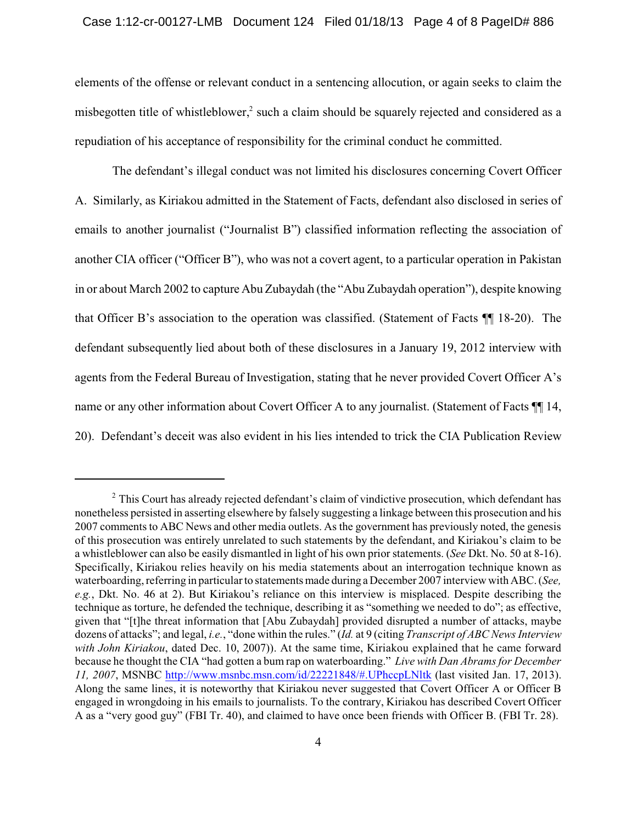elements of the offense or relevant conduct in a sentencing allocution, or again seeks to claim the misbegotten title of whistleblower, $3$  such a claim should be squarely rejected and considered as a repudiation of his acceptance of responsibility for the criminal conduct he committed.

The defendant's illegal conduct was not limited his disclosures concerning Covert Officer A. Similarly, as Kiriakou admitted in the Statement of Facts, defendant also disclosed in series of emails to another journalist ("Journalist B") classified information reflecting the association of another CIA officer ("Officer B"), who was not a covert agent, to a particular operation in Pakistan in or about March 2002 to capture Abu Zubaydah (the "Abu Zubaydah operation"), despite knowing that Officer B's association to the operation was classified. (Statement of Facts ¶¶ 18-20). The defendant subsequently lied about both of these disclosures in a January 19, 2012 interview with agents from the Federal Bureau of Investigation, stating that he never provided Covert Officer A's name or any other information about Covert Officer A to any journalist. (Statement of Facts  $\P$  14, 20). Defendant's deceit was also evident in his lies intended to trick the CIA Publication Review

 $2$  This Court has already rejected defendant's claim of vindictive prosecution, which defendant has nonetheless persisted in asserting elsewhere by falsely suggesting a linkage between this prosecution and his 2007 comments to ABC News and other media outlets. As the government has previously noted, the genesis of this prosecution was entirely unrelated to such statements by the defendant, and Kiriakou's claim to be a whistleblower can also be easily dismantled in light of his own prior statements. (*See* Dkt. No. 50 at 8-16). Specifically, Kiriakou relies heavily on his media statements about an interrogation technique known as waterboarding, referring in particularto statements made during a December 2007 interview with ABC. (*See, e.g.*, Dkt. No. 46 at 2). But Kiriakou's reliance on this interview is misplaced. Despite describing the technique as torture, he defended the technique, describing it as "something we needed to do"; as effective, given that "[t]he threat information that [Abu Zubaydah] provided disrupted a number of attacks, maybe dozens of attacks"; and legal, *i.e.*, "done within the rules." (*Id.* at 9 (citing *Transcript of ABC News Interview with John Kiriakou*, dated Dec. 10, 2007)). At the same time, Kiriakou explained that he came forward because he thought the CIA "had gotten a bum rap on waterboarding." *Live with Dan Abrams for December 11, 2007*, MSNBC [http://www.msnbc.msn.com/id/22221848/#.UPhccpLNltk](http://www.msnbc.msn.com/id/22221848/) (last visited Jan. 17, 2013). Along the same lines, it is noteworthy that Kiriakou never suggested that Covert Officer A or Officer B engaged in wrongdoing in his emails to journalists. To the contrary, Kiriakou has described Covert Officer A as a "very good guy" (FBI Tr. 40), and claimed to have once been friends with Officer B. (FBI Tr. 28).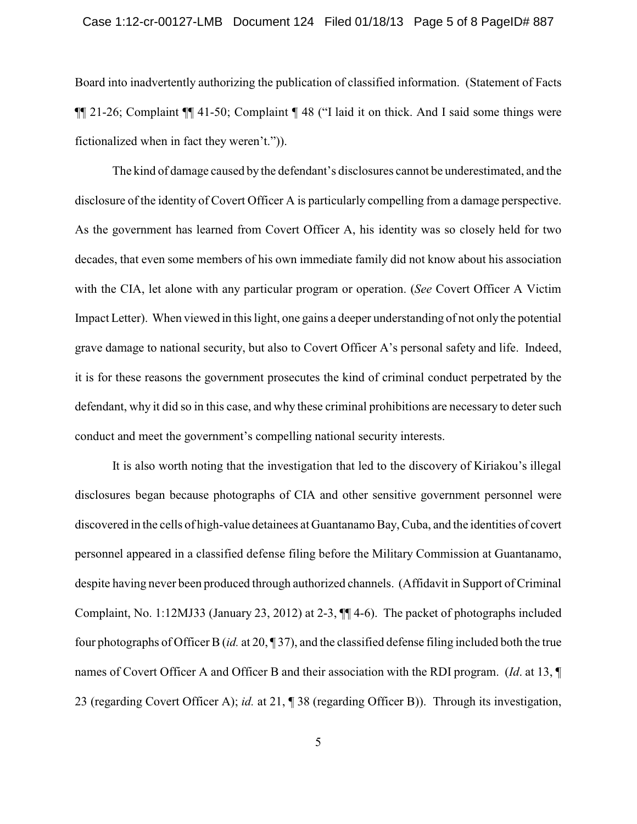### Case 1:12-cr-00127-LMB Document 124 Filed 01/18/13 Page 5 of 8 PageID# 887

Board into inadvertently authorizing the publication of classified information. (Statement of Facts ¶¶ 21-26; Complaint ¶¶ 41-50; Complaint ¶ 48 ("I laid it on thick. And I said some things were fictionalized when in fact they weren't.")).

The kind of damage caused by the defendant's disclosures cannot be underestimated, and the disclosure of the identity of Covert Officer A is particularly compelling from a damage perspective. As the government has learned from Covert Officer A, his identity was so closely held for two decades, that even some members of his own immediate family did not know about his association with the CIA, let alone with any particular program or operation. (*See* Covert Officer A Victim Impact Letter). When viewed in this light, one gains a deeper understanding of not only the potential grave damage to national security, but also to Covert Officer A's personal safety and life. Indeed, it is for these reasons the government prosecutes the kind of criminal conduct perpetrated by the defendant, why it did so in this case, and why these criminal prohibitions are necessary to deter such conduct and meet the government's compelling national security interests.

 It is also worth noting that the investigation that led to the discovery of Kiriakou's illegal disclosures began because photographs of CIA and other sensitive government personnel were discovered in the cells of high-value detainees at Guantanamo Bay, Cuba, and the identities of covert personnel appeared in a classified defense filing before the Military Commission at Guantanamo, despite having never been produced through authorized channels. (Affidavit in Support of Criminal Complaint, No. 1:12MJ33 (January 23, 2012) at 2-3, ¶¶ 4-6). The packet of photographs included four photographs of Officer B (*id.* at 20, ¶ 37), and the classified defense filing included both the true names of Covert Officer A and Officer B and their association with the RDI program. (*Id*. at 13, ¶ 23 (regarding Covert Officer A); *id.* at 21, ¶ 38 (regarding Officer B)). Through its investigation,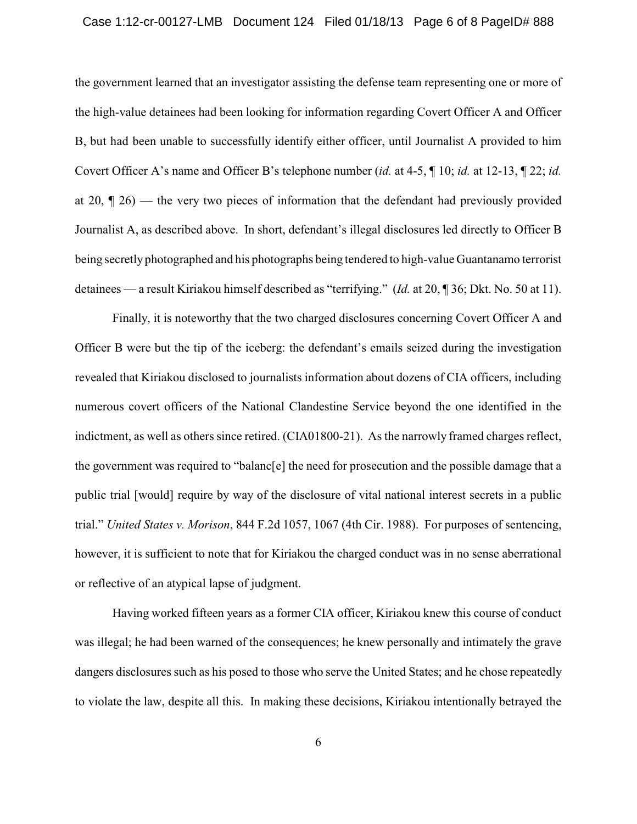### Case 1:12-cr-00127-LMB Document 124 Filed 01/18/13 Page 6 of 8 PageID# 888

the government learned that an investigator assisting the defense team representing one or more of the high-value detainees had been looking for information regarding Covert Officer A and Officer B, but had been unable to successfully identify either officer, until Journalist A provided to him Covert Officer A's name and Officer B's telephone number (*id.* at 4-5, ¶ 10; *id.* at 12-13, ¶ 22; *id.* at 20,  $\llbracket$  26) — the very two pieces of information that the defendant had previously provided Journalist A, as described above. In short, defendant's illegal disclosures led directly to Officer B being secretly photographed and his photographs being tendered to high-value Guantanamo terrorist detainees — a result Kiriakou himself described as "terrifying." (*Id.* at 20, ¶ 36; Dkt. No. 50 at 11).

Finally, it is noteworthy that the two charged disclosures concerning Covert Officer A and Officer B were but the tip of the iceberg: the defendant's emails seized during the investigation revealed that Kiriakou disclosed to journalists information about dozens of CIA officers, including numerous covert officers of the National Clandestine Service beyond the one identified in the indictment, as well as others since retired. (CIA01800-21). As the narrowly framed charges reflect, the government was required to "balanc[e] the need for prosecution and the possible damage that a public trial [would] require by way of the disclosure of vital national interest secrets in a public trial." *United States v. Morison*, 844 F.2d 1057, 1067 (4th Cir. 1988). For purposes of sentencing, however, it is sufficient to note that for Kiriakou the charged conduct was in no sense aberrational or reflective of an atypical lapse of judgment.

Having worked fifteen years as a former CIA officer, Kiriakou knew this course of conduct was illegal; he had been warned of the consequences; he knew personally and intimately the grave dangers disclosures such as his posed to those who serve the United States; and he chose repeatedly to violate the law, despite all this. In making these decisions, Kiriakou intentionally betrayed the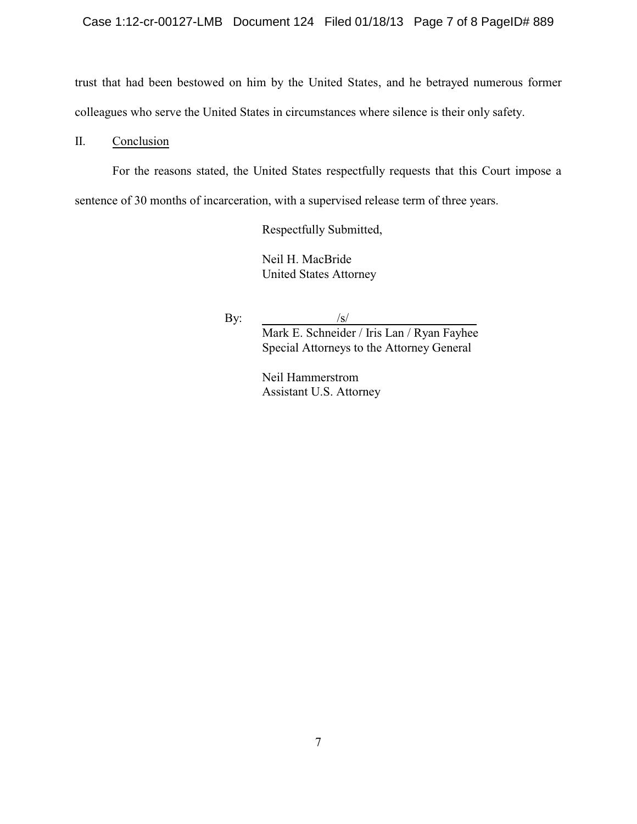# Case 1:12-cr-00127-LMB Document 124 Filed 01/18/13 Page 7 of 8 PageID# 889

trust that had been bestowed on him by the United States, and he betrayed numerous former colleagues who serve the United States in circumstances where silence is their only safety.

# II. Conclusion

For the reasons stated, the United States respectfully requests that this Court impose a sentence of 30 months of incarceration, with a supervised release term of three years.

Respectfully Submitted,

Neil H. MacBride United States Attorney

By:  $/s/$ 

Mark E. Schneider / Iris Lan / Ryan Fayhee Special Attorneys to the Attorney General

Neil Hammerstrom Assistant U.S. Attorney